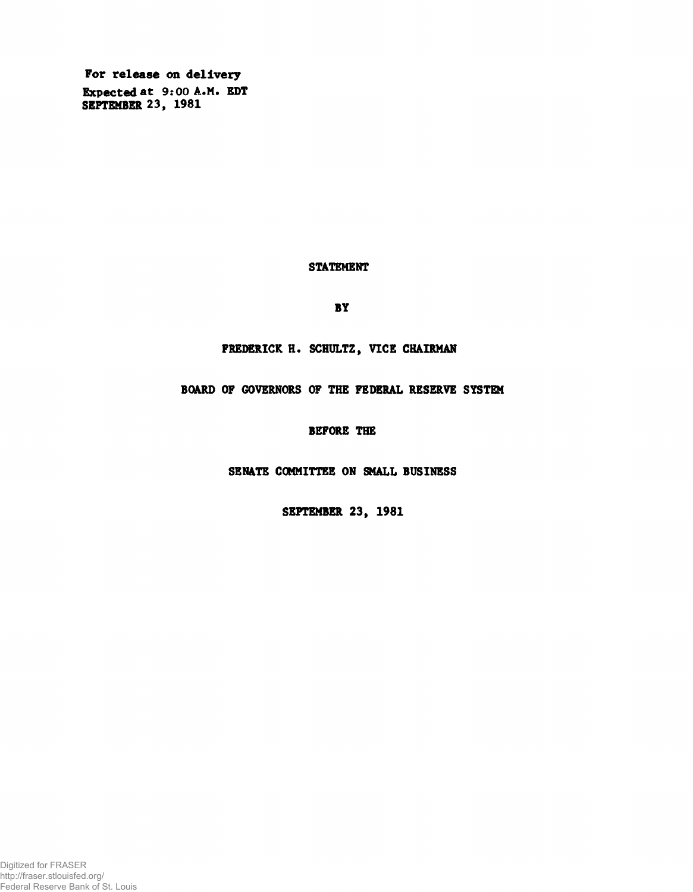For release on delivery Expected at 9:00 A.M. EDT SEPTEMBER 23, 1981

## STATEMENT

BY

FREDERICK H. SCHULTZ, VICE CHAIRMAN

BOARD OF GOVERNORS OF THE FEDERAL RESERVE SYSTEM

BEFORE THE

SENATE COMMITTEE ON SMALL BUSINESS

SEPTEMBER 23, 1981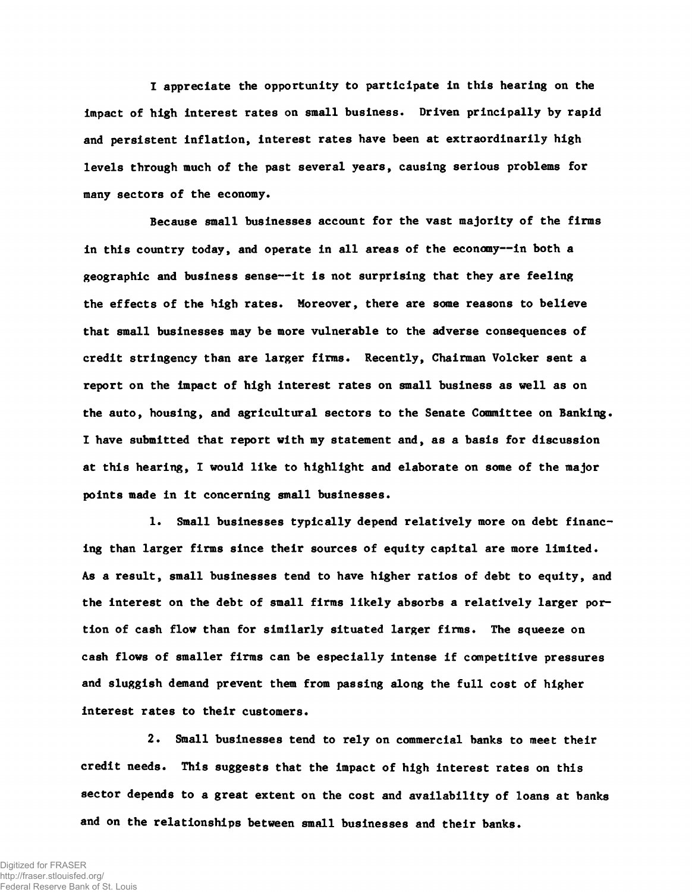I appreciate the opportunity to participate in this hearing on the impact of high interest rates on small business. Driven principally by rapid and persistent inflation, interest rates have been at extraordinarily high levels through much of the past several years, causing serious problems for many sectors of the economy.

Because small businesses account for the vast majority of the firms in this country today, and operate in all areas of the economy--in both a geographic and business sense— it is not surprising that they are feeling the effects of the high rates. Moreover, there are some reasons to believe that small businesses may be more vulnerable to the adverse consequences of credit stringency than are larger firms. Recently, Chairman Volcker sent a report on the impact of high interest rates on small business as well as on the auto, housing, and agricultural sectors to the Senate Committee on Banking. I have submitted that report with my statement and, as a basis for discussion at this hearing, I would like to highlight and elaborate on some of the major points made in it concerning small businesses.

1. Small businesses typically depend relatively more on debt financing than larger firms since their sources of equity capital are more limited. As a result, small businesses tend to have higher ratios of debt to equity, and the interest on the debt of small firms likely absorbs a relatively larger portion of cash flow than for similarly situated larger firms. The squeeze on cash flows of smaller firms can be especially intense if competitive pressures and sluggish demand prevent them from passing along the full cost of higher interest rates to their customers.

2. Small businesses tend to rely on commercial banks to meet their credit needs. This suggests that the impact of high interest rates on this sector depends to a great extent on the cost and availability of loans at banks and on the relationships between small businesses and their banks.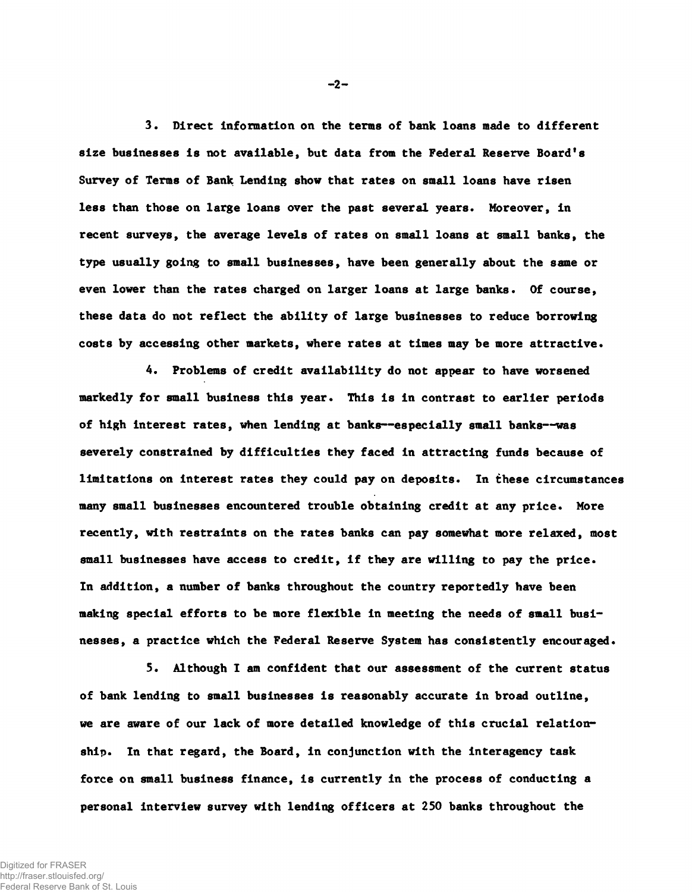3. Direct information on the terms of bank loans made to different size businesses is not available, but data from the Federal Reserve Board's Survey of Terms of Bank Lending show that rates on small loans have risen less than those on large loans over the past several years. Moreover, in recent surveys, the average levels of rates on small loans at small banks, the type usually going to small businesses, have been generally about the same or even lower than the rates charged on larger loans at large banks. Of course, these data do not reflect the ability of large businesses to reduce borrowing costs by accessing other markets, where rates at times may be more attractive.

4. Problems of credit availability do not appear to have worsened markedly for small business this year. This is in contrast to earlier periods of high interest rates, when lending at banks— especially small banks— was severely constrained by difficulties they faced in attracting funds because of limitations on interest rates they could pay on deposits. In these circumstances many small businesses encountered trouble obtaining credit at any price. More recently, with restraints on the rates banks can pay somewhat more relaxed, most small businesses have access to credit, if they are willing to pay the price. In addition, a number of banks throughout the country reportedly have been making special efforts to be more flexible in meeting the needs of small businesses, a practice which the Federal Reserve System has consistently encouraged.

5. Although I am confident that our assessment of the current status of bank lending to small businesses is reasonably accurate in broad outline, we are aware of our lack of more detailed knowledge of this crucial relationship. In that regard, the Board, in conjunction with the interagency task force on small business finance, is currently in the process of conducting a personal interview survey with lending officers at 250 banks throughout the

 $-2-$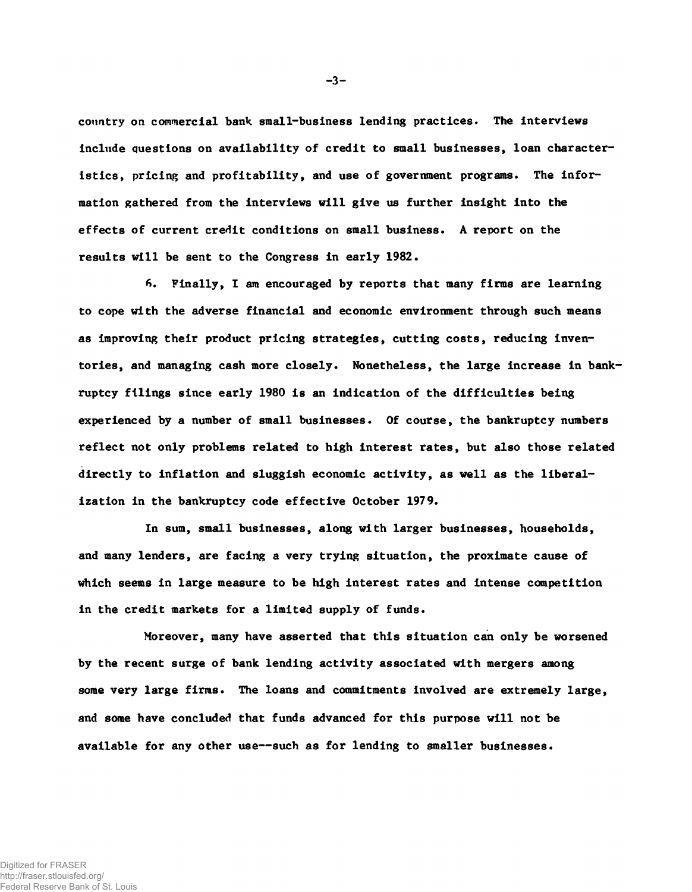country on commercial bank small-business lending practices. The interviews include questions on availability of credit to small businesses, loan characteristics, pricing and profitability, and use of government programs. The information gathered from the interviews will give us further insight into the effects of current credit conditions on small business. A report on the results will be sent to the Congress in early 1982.

*f\*.* Finally, I am encouraged by reports that many firms are learning to cope with the adverse financial and economic environment through such means as improving their product pricing strategies, cutting costs, reducing inventories, and managing cash more closely. Nonetheless, the large increase in bankruptcy filings since early 1980 is an indication of the difficulties being experienced by a number of small businesses. Of course, the bankruptcy numbers reflect not only problems related to high interest rates, but also those related directly to inflation and sluggish economic activity, as well as the liberalization in the bankruptcy code effective October 1979.

In sum, small businesses, along with larger businesses, households, and many lenders, are facing a very trying situation, the proximate cause of which seems in large measure to be high interest rates and intense competition in the credit markets for a limited supply of funds.

Moreover, many have asserted that this situation can only be worsened by the recent surge of bank lending activity associated with mergers among some very large firms. The loans and commitments involved are extremely large, and some have concluded that funds advanced for this purpose will not be available for any other use— such as for lending to smaller businesses.

 $-3-$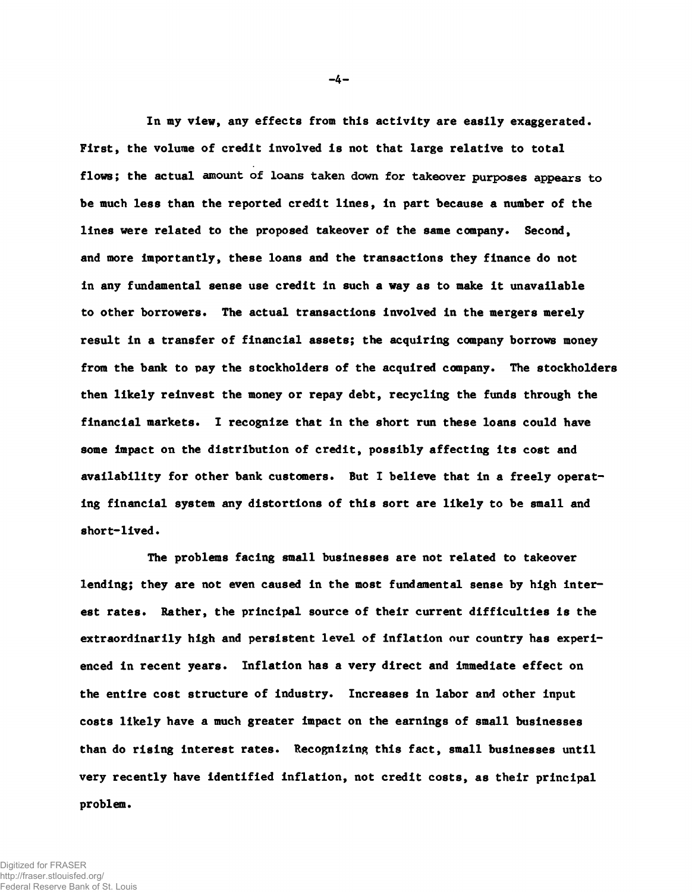In my view, any effects from this activity are easily exaggerated. First, the volume of credit involved is not that large relative to total flows; the actual amount of loans taken down for takeover purposes appears to be much less than the reported credit lines, in part because a number of the lines were related to the proposed takeover of the same company. Second, and more importantly, these loans and the transactions they finance do not in any fundamental sense use credit in such a way as to make it unavailable to other borrowers. The actual transactions involved in the mergers merely result in a transfer of financial assets; the acquiring company borrows money from the bank to pay the stockholders of the acquired company. The stockholders then likely reinvest the money or repay debt, recycling the funds through the financial markets. I recognize that in the short run these loans could have some impact on the distribution of credit, possibly affecting its cost and availability for other bank customers. But I believe that in a freely operating financial system any distortions of this sort are likely to be small and short-lived.

The problems facing small businesses are not related to takeover lending; they are not even caused in the most fundamental sense by high interest rates. Rather, the principal source of their current difficulties is the extraordinarily high and persistent level of inflation our country has experienced in recent years. Inflation has a very direct and immediate effect on the entire cost structure of industry. Increases in labor and other input costs likely have a much greater impact on the earnings of small businesses than do rising interest rates. Recognizing this fact, small businesses until very recently have identified inflation, not credit costs, as their principal problem.

Digitized for FRASER http://fraser.stlouisfed.org/ Federal Reserve Bank of St. Louis  $-4-$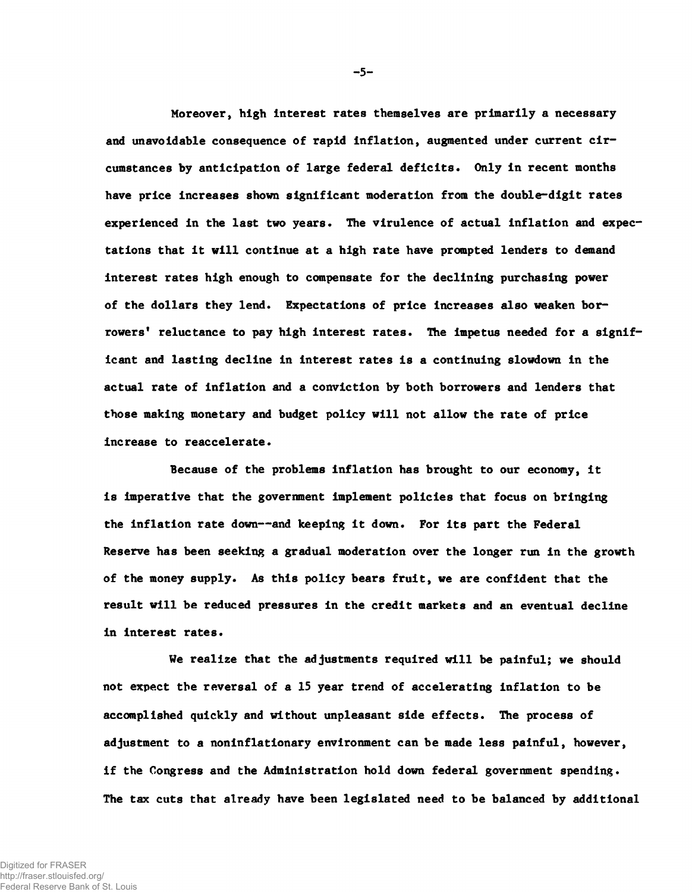Moreover, high interest rates themselves are primarily a necessary and unavoidable consequence of rapid inflation, augmented under current circumstances by anticipation of large federal deficits. Only in recent months have price increases shown significant moderation from the double-digit rates experienced in the last two years. The virulence of actual inflation and expectations that it will continue at a high rate have prompted lenders to demand interest rates high enough to compensate for the declining purchasing power of the dollars they lend. Expectations of price increases also weaken borrowers' reluctance to pay high interest rates. The impetus needed for a significant and lasting decline in interest rates is a continuing slowdown in the actual rate of inflation and a conviction by both borrowers and lenders that those making monetary and budget policy will not allow the rate of price increase to reaccelerate.

Because of the problems inflation has brought to our economy, it is imperative that the government implement policies that focus on bringing the inflation rate down— and keeping it down. For its part the Federal Reserve has been seeking a gradual moderation over the longer run in the growth of the money supply. As this policy bears fruit, we are confident that the result will be reduced pressures in the credit markets and an eventual decline in interest rates.

We realize that the adjustments required will be painful; we should not expect the reversal of a 15 year trend of accelerating inflation to be accomplished quickly and without unpleasant side effects. The process of adjustment to a noninflationary environment can be made less painful, however, if the Congress and the Administration hold down federal government spending. The tax cuts that already have been legislated need to be balanced by additional

 $-5-$